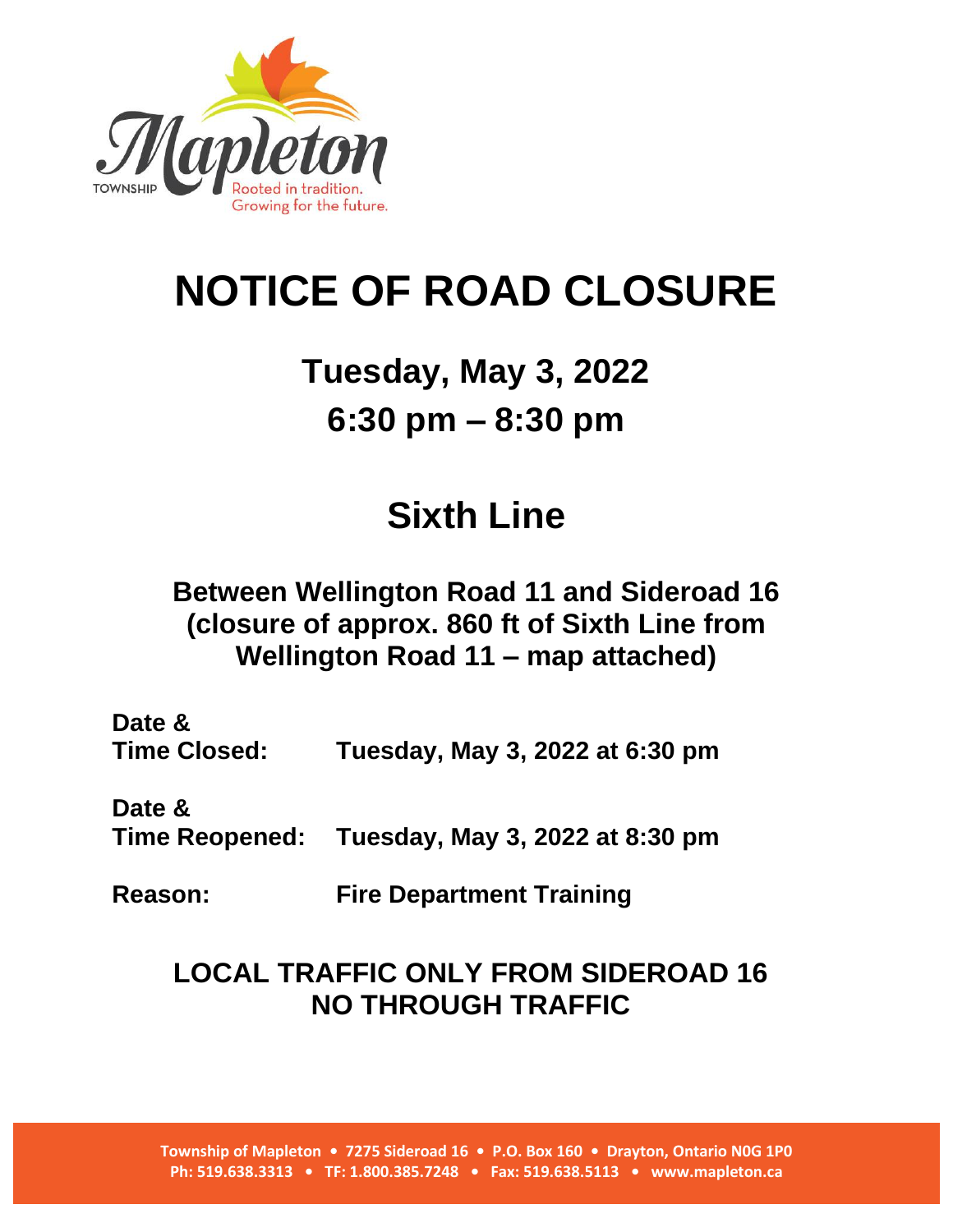

# **NOTICE OF ROAD CLOSURE**

## **Tuesday, May 3, 2022 6:30 pm – 8:30 pm**

### **Sixth Line**

#### **Between Wellington Road 11 and Sideroad 16 (closure of approx. 860 ft of Sixth Line from Wellington Road 11 – map attached)**

**Date & Time Closed: Tuesday, May 3, 2022 at 6:30 pm**

**Date & Time Reopened: Tuesday, May 3, 2022 at 8:30 pm**

**Reason: Fire Department Training**

#### **LOCAL TRAFFIC ONLY FROM SIDEROAD 16 NO THROUGH TRAFFIC**